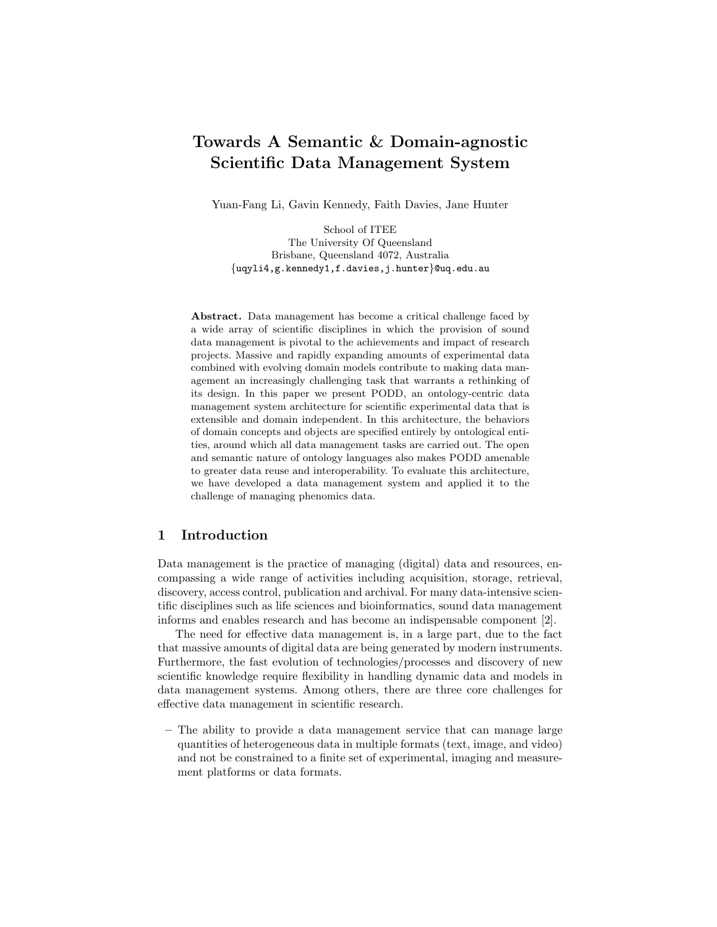# Towards A Semantic & Domain-agnostic Scientific Data Management System

Yuan-Fang Li, Gavin Kennedy, Faith Davies, Jane Hunter

School of ITEE The University Of Queensland Brisbane, Queensland 4072, Australia {uqyli4,g.kennedy1,f.davies,j.hunter}@uq.edu.au

Abstract. Data management has become a critical challenge faced by a wide array of scientific disciplines in which the provision of sound data management is pivotal to the achievements and impact of research projects. Massive and rapidly expanding amounts of experimental data combined with evolving domain models contribute to making data management an increasingly challenging task that warrants a rethinking of its design. In this paper we present PODD, an ontology-centric data management system architecture for scientific experimental data that is extensible and domain independent. In this architecture, the behaviors of domain concepts and objects are specified entirely by ontological entities, around which all data management tasks are carried out. The open and semantic nature of ontology languages also makes PODD amenable to greater data reuse and interoperability. To evaluate this architecture, we have developed a data management system and applied it to the challenge of managing phenomics data.

### 1 Introduction

Data management is the practice of managing (digital) data and resources, encompassing a wide range of activities including acquisition, storage, retrieval, discovery, access control, publication and archival. For many data-intensive scientific disciplines such as life sciences and bioinformatics, sound data management informs and enables research and has become an indispensable component [2].

The need for effective data management is, in a large part, due to the fact that massive amounts of digital data are being generated by modern instruments. Furthermore, the fast evolution of technologies/processes and discovery of new scientific knowledge require flexibility in handling dynamic data and models in data management systems. Among others, there are three core challenges for effective data management in scientific research.

– The ability to provide a data management service that can manage large quantities of heterogeneous data in multiple formats (text, image, and video) and not be constrained to a finite set of experimental, imaging and measurement platforms or data formats.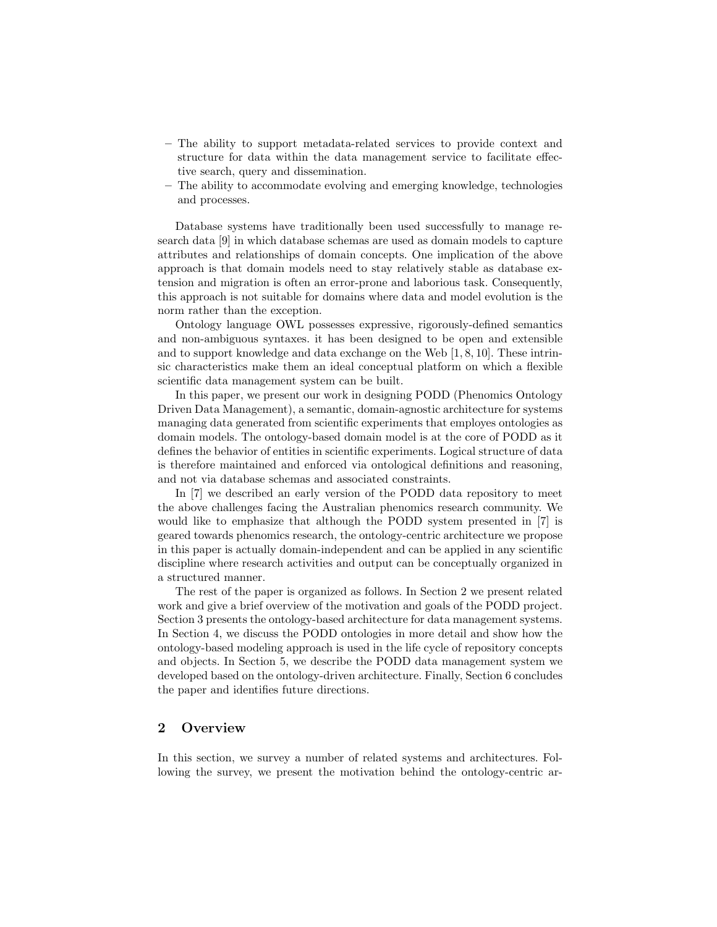- The ability to support metadata-related services to provide context and structure for data within the data management service to facilitate effective search, query and dissemination.
- The ability to accommodate evolving and emerging knowledge, technologies and processes.

Database systems have traditionally been used successfully to manage research data [9] in which database schemas are used as domain models to capture attributes and relationships of domain concepts. One implication of the above approach is that domain models need to stay relatively stable as database extension and migration is often an error-prone and laborious task. Consequently, this approach is not suitable for domains where data and model evolution is the norm rather than the exception.

Ontology language OWL possesses expressive, rigorously-defined semantics and non-ambiguous syntaxes. it has been designed to be open and extensible and to support knowledge and data exchange on the Web [1, 8, 10]. These intrinsic characteristics make them an ideal conceptual platform on which a flexible scientific data management system can be built.

In this paper, we present our work in designing PODD (Phenomics Ontology Driven Data Management), a semantic, domain-agnostic architecture for systems managing data generated from scientific experiments that employes ontologies as domain models. The ontology-based domain model is at the core of PODD as it defines the behavior of entities in scientific experiments. Logical structure of data is therefore maintained and enforced via ontological definitions and reasoning, and not via database schemas and associated constraints.

In [7] we described an early version of the PODD data repository to meet the above challenges facing the Australian phenomics research community. We would like to emphasize that although the PODD system presented in [7] is geared towards phenomics research, the ontology-centric architecture we propose in this paper is actually domain-independent and can be applied in any scientific discipline where research activities and output can be conceptually organized in a structured manner.

The rest of the paper is organized as follows. In Section 2 we present related work and give a brief overview of the motivation and goals of the PODD project. Section 3 presents the ontology-based architecture for data management systems. In Section 4, we discuss the PODD ontologies in more detail and show how the ontology-based modeling approach is used in the life cycle of repository concepts and objects. In Section 5, we describe the PODD data management system we developed based on the ontology-driven architecture. Finally, Section 6 concludes the paper and identifies future directions.

# 2 Overview

In this section, we survey a number of related systems and architectures. Following the survey, we present the motivation behind the ontology-centric ar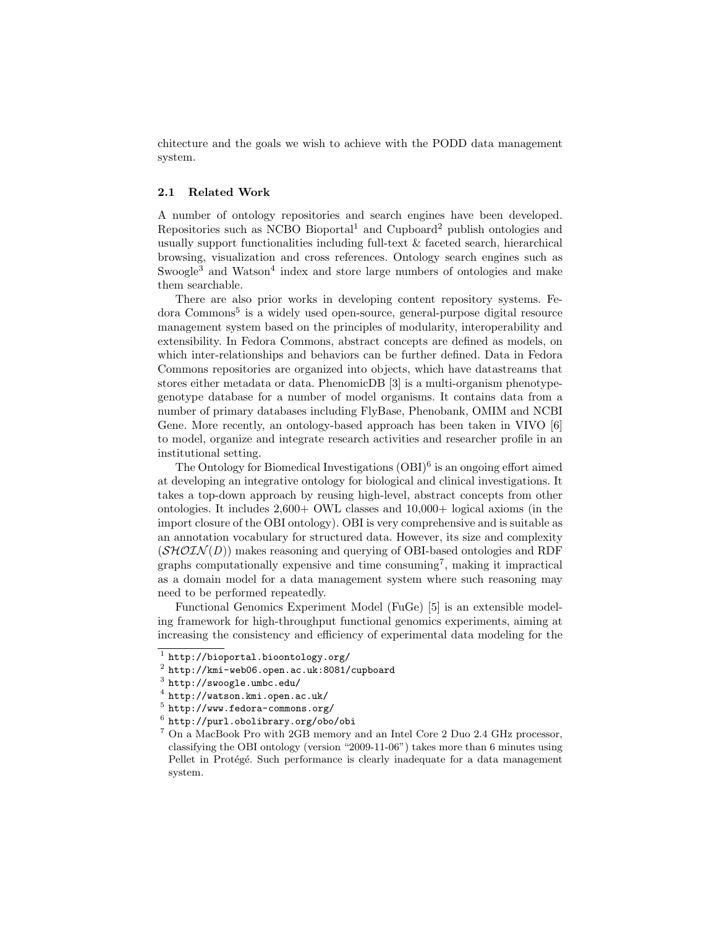chitecture and the goals we wish to achieve with the PODD data management system.

#### 2.1 Related Work

A number of ontology repositories and search engines have been developed. Repositories such as NCBO Bioportal<sup>1</sup> and Cupboard<sup>2</sup> publish ontologies and usually support functionalities including full-text & faceted search, hierarchical browsing, visualization and cross references. Ontology search engines such as Swoogle<sup>3</sup> and Watson<sup>4</sup> index and store large numbers of ontologies and make them searchable.

There are also prior works in developing content repository systems. Fedora Commons<sup>5</sup> is a widely used open-source, general-purpose digital resource management system based on the principles of modularity, interoperability and extensibility. In Fedora Commons, abstract concepts are defined as models, on which inter-relationships and behaviors can be further defined. Data in Fedora Commons repositories are organized into objects, which have datastreams that stores either metadata or data. PhenomicDB [3] is a multi-organism phenotypegenotype database for a number of model organisms. It contains data from a number of primary databases including FlyBase, Phenobank, OMIM and NCBI Gene. More recently, an ontology-based approach has been taken in VIVO [6] to model, organize and integrate research activities and researcher profile in an institutional setting.

The Ontology for Biomedical Investigations  $(OBI)^6$  is an ongoing effort aimed at developing an integrative ontology for biological and clinical investigations. It takes a top-down approach by reusing high-level, abstract concepts from other ontologies. It includes 2,600+ OWL classes and 10,000+ logical axioms (in the import closure of the OBI ontology). OBI is very comprehensive and is suitable as an annotation vocabulary for structured data. However, its size and complexity  $(SHOLN(D))$  makes reasoning and querying of OBI-based ontologies and RDF graphs computationally expensive and time consuming<sup>7</sup>, making it impractical as a domain model for a data management system where such reasoning may need to be performed repeatedly.

Functional Genomics Experiment Model (FuGe) [5] is an extensible modeling framework for high-throughput functional genomics experiments, aiming at increasing the consistency and efficiency of experimental data modeling for the

<sup>1</sup> http://bioportal.bioontology.org/

 $^2$  http://kmi-web06.open.ac.uk:8081/cupboard

 $^3$  http://swoogle.umbc.edu/

 $^4$  http://watson.kmi.open.ac.uk/

 $5$  http://www.fedora-commons.org/

 $^6$  http://purl.obolibrary.org/obo/obi

<sup>7</sup> On a MacBook Pro with 2GB memory and an Intel Core 2 Duo 2.4 GHz processor, classifying the OBI ontology (version "2009-11-06") takes more than 6 minutes using Pellet in Protégé. Such performance is clearly inadequate for a data management system.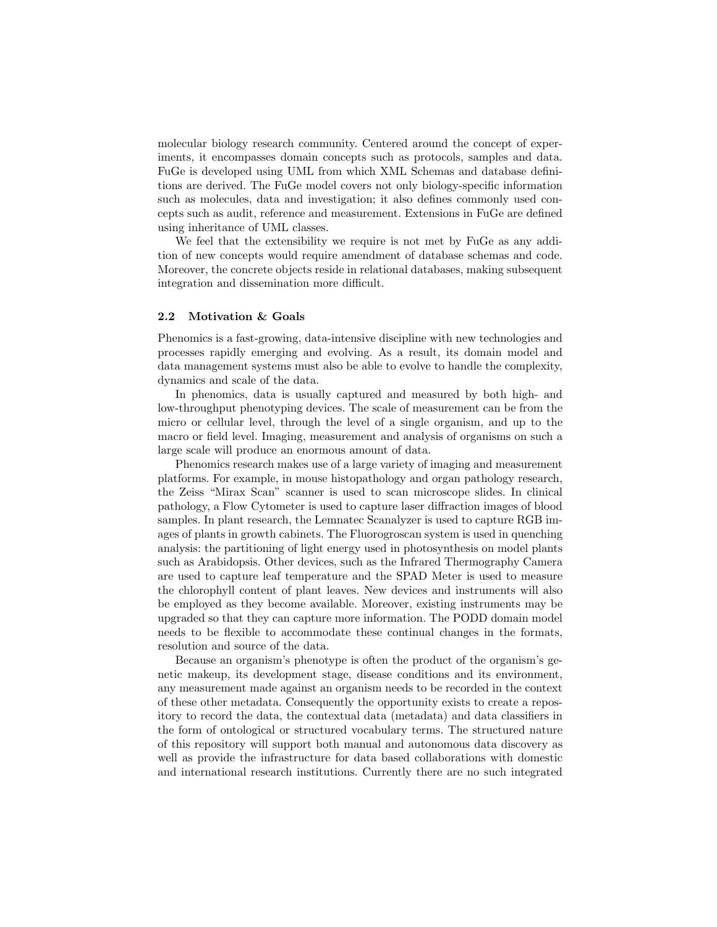molecular biology research community. Centered around the concept of experiments, it encompasses domain concepts such as protocols, samples and data. FuGe is developed using UML from which XML Schemas and database definitions are derived. The FuGe model covers not only biology-specific information such as molecules, data and investigation; it also defines commonly used concepts such as audit, reference and measurement. Extensions in FuGe are defined using inheritance of UML classes.

We feel that the extensibility we require is not met by FuGe as any addition of new concepts would require amendment of database schemas and code. Moreover, the concrete objects reside in relational databases, making subsequent integration and dissemination more difficult.

#### 2.2 Motivation & Goals

Phenomics is a fast-growing, data-intensive discipline with new technologies and processes rapidly emerging and evolving. As a result, its domain model and data management systems must also be able to evolve to handle the complexity, dynamics and scale of the data.

In phenomics, data is usually captured and measured by both high- and low-throughput phenotyping devices. The scale of measurement can be from the micro or cellular level, through the level of a single organism, and up to the macro or field level. Imaging, measurement and analysis of organisms on such a large scale will produce an enormous amount of data.

Phenomics research makes use of a large variety of imaging and measurement platforms. For example, in mouse histopathology and organ pathology research, the Zeiss "Mirax Scan" scanner is used to scan microscope slides. In clinical pathology, a Flow Cytometer is used to capture laser diffraction images of blood samples. In plant research, the Lemnatec Scanalyzer is used to capture RGB images of plants in growth cabinets. The Fluorogroscan system is used in quenching analysis: the partitioning of light energy used in photosynthesis on model plants such as Arabidopsis. Other devices, such as the Infrared Thermography Camera are used to capture leaf temperature and the SPAD Meter is used to measure the chlorophyll content of plant leaves. New devices and instruments will also be employed as they become available. Moreover, existing instruments may be upgraded so that they can capture more information. The PODD domain model needs to be flexible to accommodate these continual changes in the formats, resolution and source of the data.

Because an organism's phenotype is often the product of the organism's genetic makeup, its development stage, disease conditions and its environment, any measurement made against an organism needs to be recorded in the context of these other metadata. Consequently the opportunity exists to create a repository to record the data, the contextual data (metadata) and data classifiers in the form of ontological or structured vocabulary terms. The structured nature of this repository will support both manual and autonomous data discovery as well as provide the infrastructure for data based collaborations with domestic and international research institutions. Currently there are no such integrated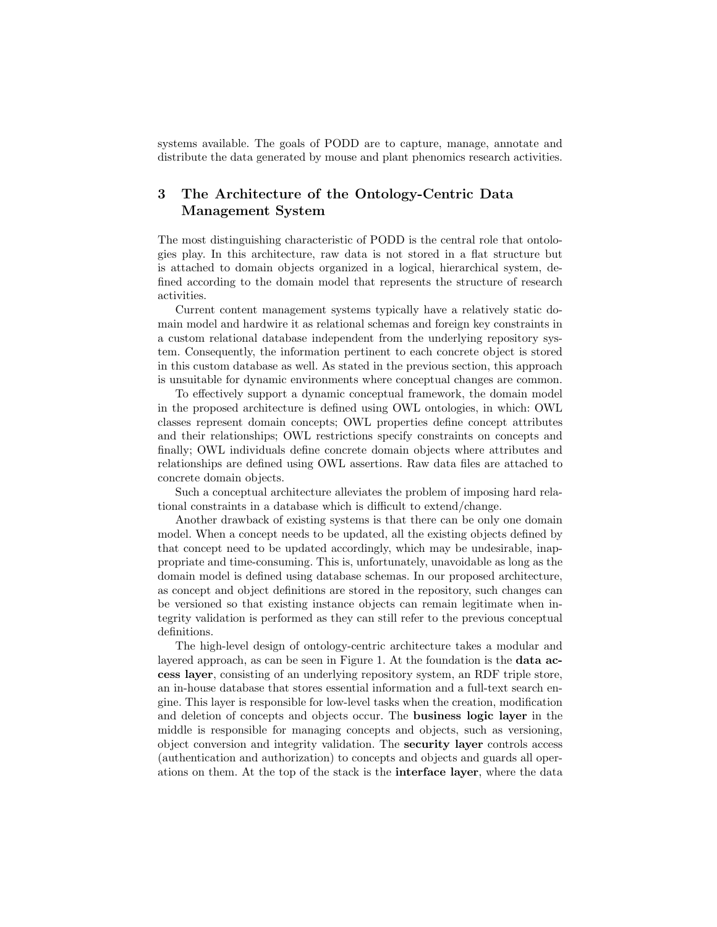systems available. The goals of PODD are to capture, manage, annotate and distribute the data generated by mouse and plant phenomics research activities.

# 3 The Architecture of the Ontology-Centric Data Management System

The most distinguishing characteristic of PODD is the central role that ontologies play. In this architecture, raw data is not stored in a flat structure but is attached to domain objects organized in a logical, hierarchical system, defined according to the domain model that represents the structure of research activities.

Current content management systems typically have a relatively static domain model and hardwire it as relational schemas and foreign key constraints in a custom relational database independent from the underlying repository system. Consequently, the information pertinent to each concrete object is stored in this custom database as well. As stated in the previous section, this approach is unsuitable for dynamic environments where conceptual changes are common.

To effectively support a dynamic conceptual framework, the domain model in the proposed architecture is defined using OWL ontologies, in which: OWL classes represent domain concepts; OWL properties define concept attributes and their relationships; OWL restrictions specify constraints on concepts and finally; OWL individuals define concrete domain objects where attributes and relationships are defined using OWL assertions. Raw data files are attached to concrete domain objects.

Such a conceptual architecture alleviates the problem of imposing hard relational constraints in a database which is difficult to extend/change.

Another drawback of existing systems is that there can be only one domain model. When a concept needs to be updated, all the existing objects defined by that concept need to be updated accordingly, which may be undesirable, inappropriate and time-consuming. This is, unfortunately, unavoidable as long as the domain model is defined using database schemas. In our proposed architecture, as concept and object definitions are stored in the repository, such changes can be versioned so that existing instance objects can remain legitimate when integrity validation is performed as they can still refer to the previous conceptual definitions.

The high-level design of ontology-centric architecture takes a modular and layered approach, as can be seen in Figure 1. At the foundation is the **data ac**cess layer, consisting of an underlying repository system, an RDF triple store, an in-house database that stores essential information and a full-text search engine. This layer is responsible for low-level tasks when the creation, modification and deletion of concepts and objects occur. The business logic layer in the middle is responsible for managing concepts and objects, such as versioning, object conversion and integrity validation. The security layer controls access (authentication and authorization) to concepts and objects and guards all operations on them. At the top of the stack is the interface layer, where the data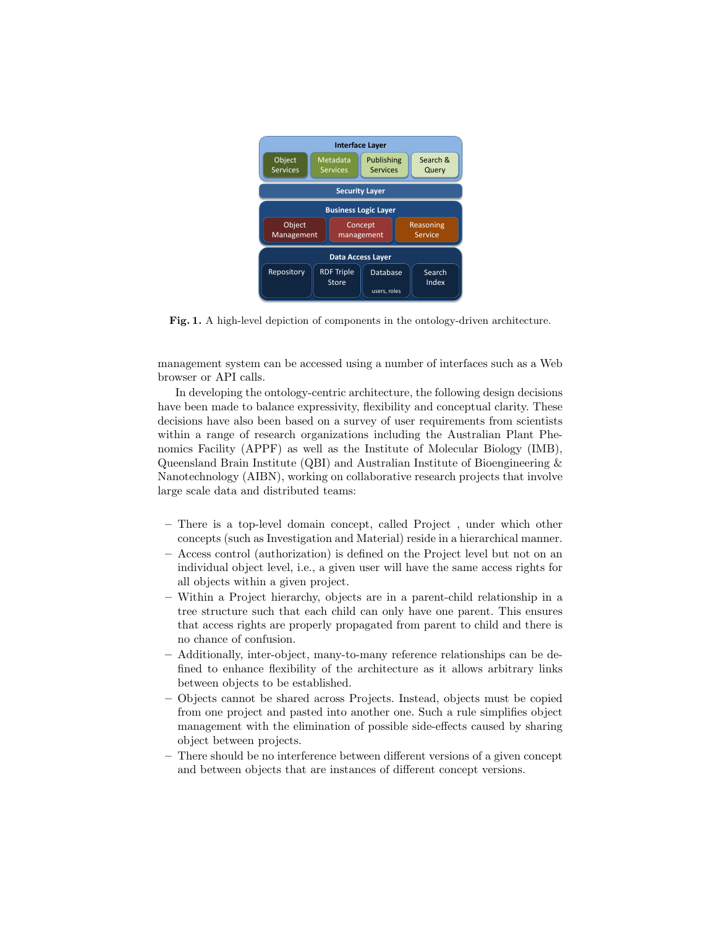

Fig. 1. A high-level depiction of components in the ontology-driven architecture.

management system can be accessed using a number of interfaces such as a Web browser or API calls.

In developing the ontology-centric architecture, the following design decisions have been made to balance expressivity, flexibility and conceptual clarity. These decisions have also been based on a survey of user requirements from scientists within a range of research organizations including the Australian Plant Phenomics Facility (APPF) as well as the Institute of Molecular Biology (IMB), Queensland Brain Institute (QBI) and Australian Institute of Bioengineering & Nanotechnology (AIBN), working on collaborative research projects that involve large scale data and distributed teams:

- There is a top-level domain concept, called Project , under which other concepts (such as Investigation and Material) reside in a hierarchical manner.
- Access control (authorization) is defined on the Project level but not on an individual object level, i.e., a given user will have the same access rights for all objects within a given project.
- Within a Project hierarchy, objects are in a parent-child relationship in a tree structure such that each child can only have one parent. This ensures that access rights are properly propagated from parent to child and there is no chance of confusion.
- Additionally, inter-object, many-to-many reference relationships can be defined to enhance flexibility of the architecture as it allows arbitrary links between objects to be established.
- Objects cannot be shared across Projects. Instead, objects must be copied from one project and pasted into another one. Such a rule simplifies object management with the elimination of possible side-effects caused by sharing object between projects.
- There should be no interference between different versions of a given concept and between objects that are instances of different concept versions.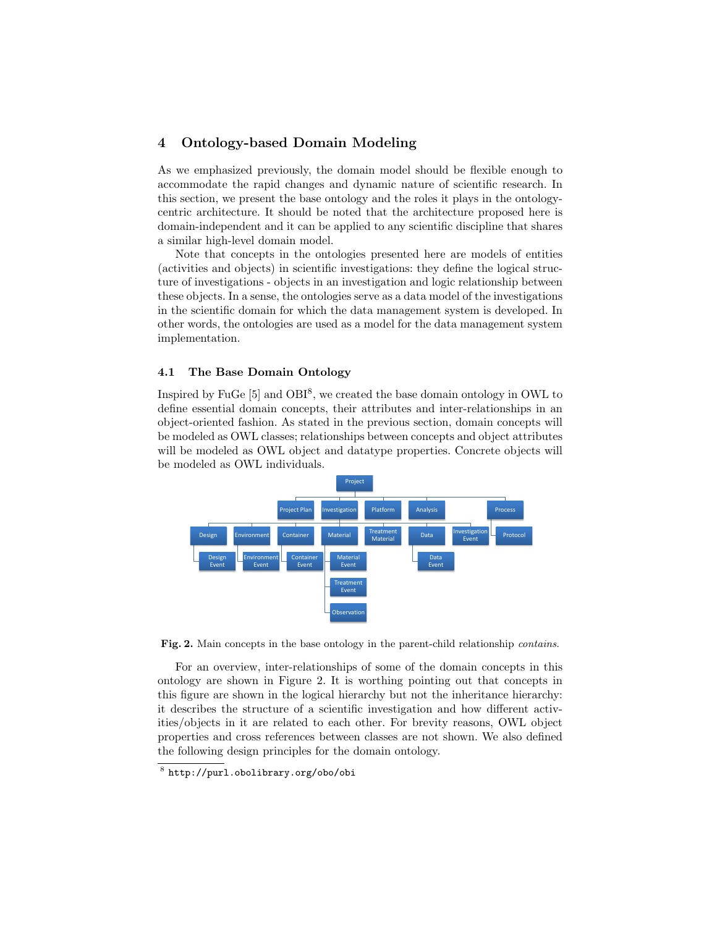## 4 Ontology-based Domain Modeling

As we emphasized previously, the domain model should be flexible enough to accommodate the rapid changes and dynamic nature of scientific research. In this section, we present the base ontology and the roles it plays in the ontologycentric architecture. It should be noted that the architecture proposed here is domain-independent and it can be applied to any scientific discipline that shares a similar high-level domain model.

Note that concepts in the ontologies presented here are models of entities (activities and objects) in scientific investigations: they define the logical structure of investigations - objects in an investigation and logic relationship between these objects. In a sense, the ontologies serve as a data model of the investigations in the scientific domain for which the data management system is developed. In other words, the ontologies are used as a model for the data management system implementation.

#### 4.1 The Base Domain Ontology

Inspired by FuGe [5] and OBI<sup>8</sup>, we created the base domain ontology in OWL to define essential domain concepts, their attributes and inter-relationships in an object-oriented fashion. As stated in the previous section, domain concepts will be modeled as OWL classes; relationships between concepts and object attributes will be modeled as OWL object and datatype properties. Concrete objects will be modeled as OWL individuals.



Fig. 2. Main concepts in the base ontology in the parent-child relationship *contains*.

For an overview, inter-relationships of some of the domain concepts in this ontology are shown in Figure 2. It is worthing pointing out that concepts in this figure are shown in the logical hierarchy but not the inheritance hierarchy: it describes the structure of a scientific investigation and how different activities/objects in it are related to each other. For brevity reasons, OWL object properties and cross references between classes are not shown. We also defined the following design principles for the domain ontology.

<sup>8</sup> http://purl.obolibrary.org/obo/obi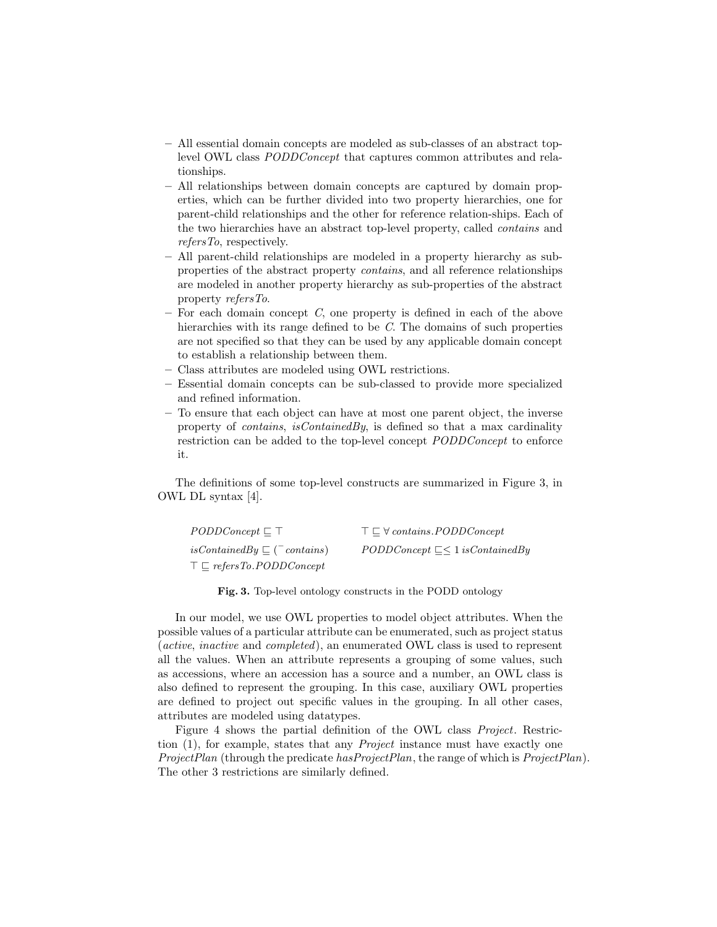- All essential domain concepts are modeled as sub-classes of an abstract toplevel OWL class PODDConcept that captures common attributes and relationships.
- All relationships between domain concepts are captured by domain properties, which can be further divided into two property hierarchies, one for parent-child relationships and the other for reference relation-ships. Each of the two hierarchies have an abstract top-level property, called contains and refersTo, respectively.
- All parent-child relationships are modeled in a property hierarchy as subproperties of the abstract property contains, and all reference relationships are modeled in another property hierarchy as sub-properties of the abstract property refersTo.
- $-$  For each domain concept  $C$ , one property is defined in each of the above hierarchies with its range defined to be C. The domains of such properties are not specified so that they can be used by any applicable domain concept to establish a relationship between them.
- Class attributes are modeled using OWL restrictions.
- Essential domain concepts can be sub-classed to provide more specialized and refined information.
- To ensure that each object can have at most one parent object, the inverse property of *contains*, *is Contained By*, is defined so that a max cardinality restriction can be added to the top-level concept PODDConcept to enforce it.

The definitions of some top-level constructs are summarized in Figure 3, in OWL DL syntax [4].

| $PODDConcept \sqsubset \top$                        | $\top \sqsubset \forall$ contains. PODDConcept |
|-----------------------------------------------------|------------------------------------------------|
| is Contained By $\sqsubset$ ( $\ulcorner$ contains) | $PODDConcept \subseteq \leq 1$ is Contained By |
| $\top \sqsubset$ refers To.PODDConcept              |                                                |

Fig. 3. Top-level ontology constructs in the PODD ontology

In our model, we use OWL properties to model object attributes. When the possible values of a particular attribute can be enumerated, such as project status (active, inactive and completed), an enumerated OWL class is used to represent all the values. When an attribute represents a grouping of some values, such as accessions, where an accession has a source and a number, an OWL class is also defined to represent the grouping. In this case, auxiliary OWL properties are defined to project out specific values in the grouping. In all other cases, attributes are modeled using datatypes.

Figure 4 shows the partial definition of the OWL class Project. Restriction (1), for example, states that any Project instance must have exactly one ProjectPlan (through the predicate hasProjectPlan, the range of which is ProjectPlan). The other 3 restrictions are similarly defined.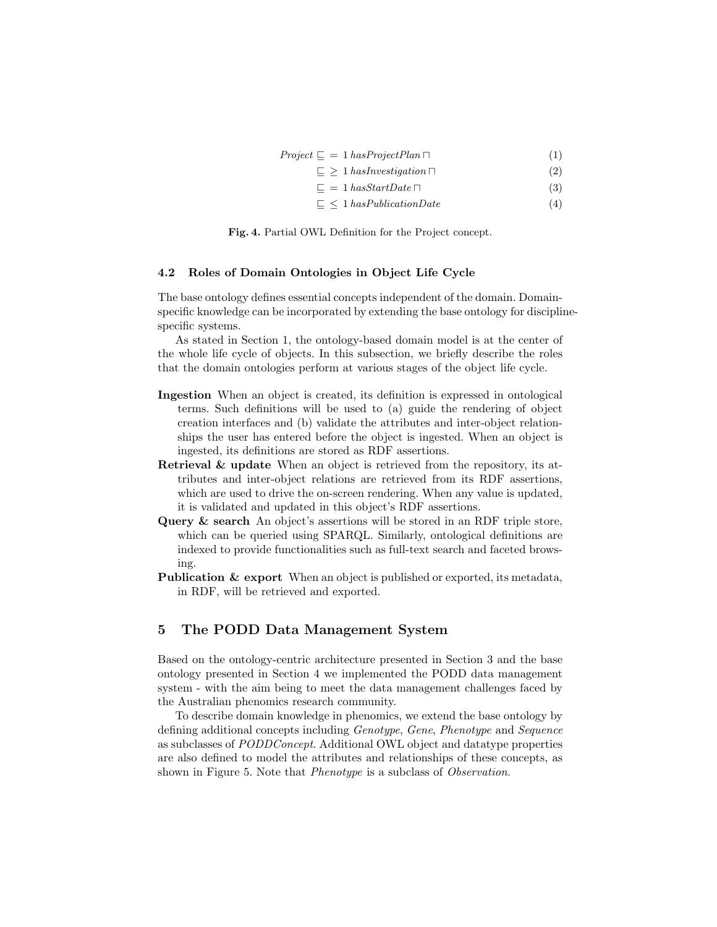| $Project \sqsubseteq = 1 \, has Project Plan \sqcap$ |  |
|------------------------------------------------------|--|
|------------------------------------------------------|--|

- $\subseteq \geq 1$  hasInvestigation  $\sqcap$  (2)
- $\subseteq$  = 1 hasStartDate  $\sqcap$  (3)
- $\Box \leq 1$  has Publication Date (4)

Fig. 4. Partial OWL Definition for the Project concept.

#### 4.2 Roles of Domain Ontologies in Object Life Cycle

The base ontology defines essential concepts independent of the domain. Domainspecific knowledge can be incorporated by extending the base ontology for disciplinespecific systems.

As stated in Section 1, the ontology-based domain model is at the center of the whole life cycle of objects. In this subsection, we briefly describe the roles that the domain ontologies perform at various stages of the object life cycle.

- Ingestion When an object is created, its definition is expressed in ontological terms. Such definitions will be used to (a) guide the rendering of object creation interfaces and (b) validate the attributes and inter-object relationships the user has entered before the object is ingested. When an object is ingested, its definitions are stored as RDF assertions.
- Retrieval & update When an object is retrieved from the repository, its attributes and inter-object relations are retrieved from its RDF assertions, which are used to drive the on-screen rendering. When any value is updated, it is validated and updated in this object's RDF assertions.
- Query & search An object's assertions will be stored in an RDF triple store, which can be queried using SPARQL. Similarly, ontological definitions are indexed to provide functionalities such as full-text search and faceted browsing.
- Publication & export When an object is published or exported, its metadata, in RDF, will be retrieved and exported.

## 5 The PODD Data Management System

Based on the ontology-centric architecture presented in Section 3 and the base ontology presented in Section 4 we implemented the PODD data management system - with the aim being to meet the data management challenges faced by the Australian phenomics research community.

To describe domain knowledge in phenomics, we extend the base ontology by defining additional concepts including Genotype, Gene, Phenotype and Sequence as subclasses of PODDConcept. Additional OWL object and datatype properties are also defined to model the attributes and relationships of these concepts, as shown in Figure 5. Note that *Phenotype* is a subclass of *Observation*.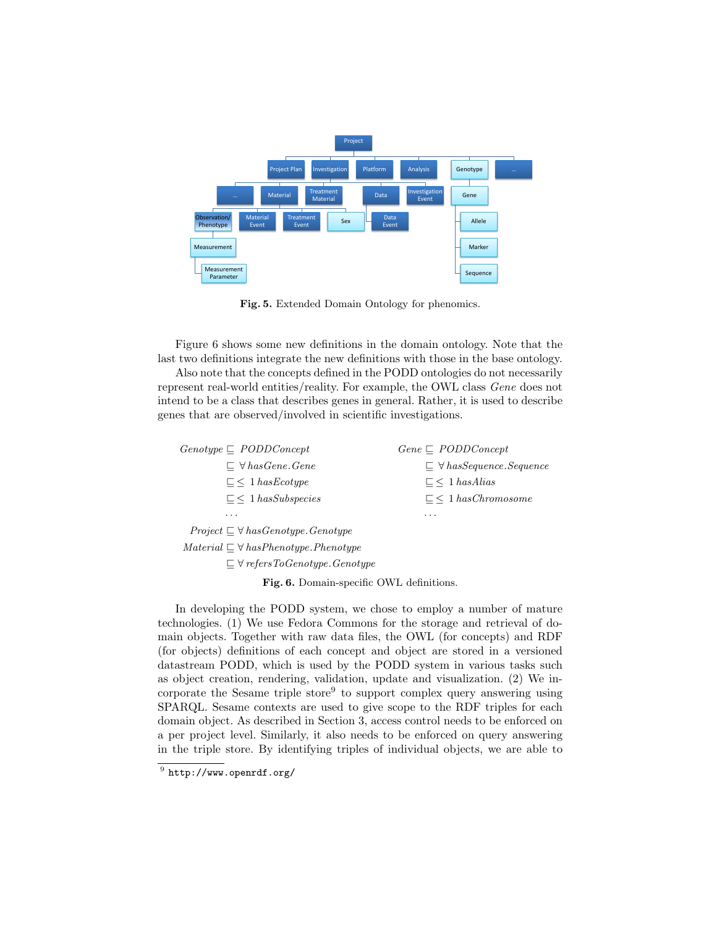

Fig. 5. Extended Domain Ontology for phenomics.

Figure 6 shows some new definitions in the domain ontology. Note that the last two definitions integrate the new definitions with those in the base ontology.

Also note that the concepts defined in the PODD ontologies do not necessarily represent real-world entities/reality. For example, the OWL class Gene does not intend to be a class that describes genes in general. Rather, it is used to describe genes that are observed/involved in scientific investigations.

| $Genotype \sqsubseteq PODDConcept$               | $Gene \sqsubseteq PODDConcept$          |
|--------------------------------------------------|-----------------------------------------|
| $\subseteq \forall$ has Gene. Gene               | $\Box$ $\forall$ has Sequence. Sequence |
| $\Gamma$ < 1 has Ecotype                         | $\Box$ 1 has Alias                      |
| $\Box$ 1 has Subspecies                          | $\Gamma$ < 1 has Chromosome             |
| .                                                | .                                       |
| $Project \subseteq \forall hasGenotype.Genotype$ |                                         |

 $Material \sqsubseteq \forall hasPhenotype.Phenotype$ 

 $\sqsubseteq \forall$  refersToGenotype.Genotype

Fig. 6. Domain-specific OWL definitions.

In developing the PODD system, we chose to employ a number of mature technologies. (1) We use Fedora Commons for the storage and retrieval of domain objects. Together with raw data files, the OWL (for concepts) and RDF (for objects) definitions of each concept and object are stored in a versioned datastream PODD, which is used by the PODD system in various tasks such as object creation, rendering, validation, update and visualization. (2) We incorporate the Sesame triple store<sup>9</sup> to support complex query answering using SPARQL. Sesame contexts are used to give scope to the RDF triples for each domain object. As described in Section 3, access control needs to be enforced on a per project level. Similarly, it also needs to be enforced on query answering in the triple store. By identifying triples of individual objects, we are able to

 $^9$  http://www.openrdf.org/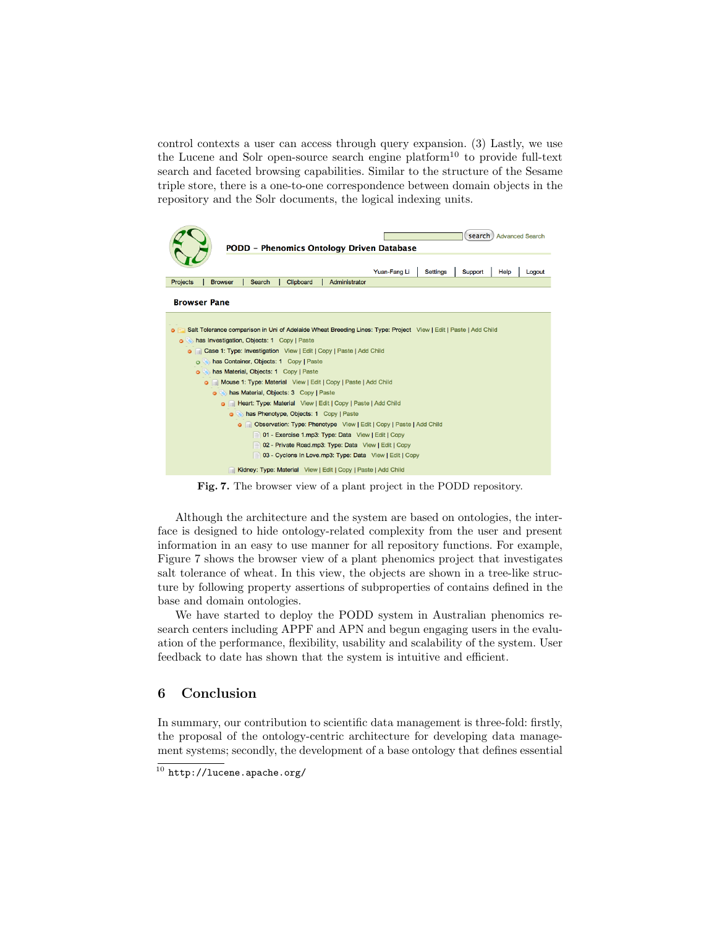control contexts a user can access through query expansion. (3) Lastly, we use the Lucene and Solr open-source search engine platform<sup>10</sup> to provide full-text search and faceted browsing capabilities. Similar to the structure of the Sesame triple store, there is a one-to-one correspondence between domain objects in the repository and the Solr documents, the logical indexing units.



Fig. 7. The browser view of a plant project in the PODD repository.

Although the architecture and the system are based on ontologies, the interface is designed to hide ontology-related complexity from the user and present information in an easy to use manner for all repository functions. For example, Figure 7 shows the browser view of a plant phenomics project that investigates salt tolerance of wheat. In this view, the objects are shown in a tree-like structure by following property assertions of subproperties of contains defined in the base and domain ontologies.

We have started to deploy the PODD system in Australian phenomics research centers including APPF and APN and begun engaging users in the evaluation of the performance, flexibility, usability and scalability of the system. User feedback to date has shown that the system is intuitive and efficient.

## 6 Conclusion

In summary, our contribution to scientific data management is three-fold: firstly, the proposal of the ontology-centric architecture for developing data management systems; secondly, the development of a base ontology that defines essential

 $\overline{10}$  http://lucene.apache.org/